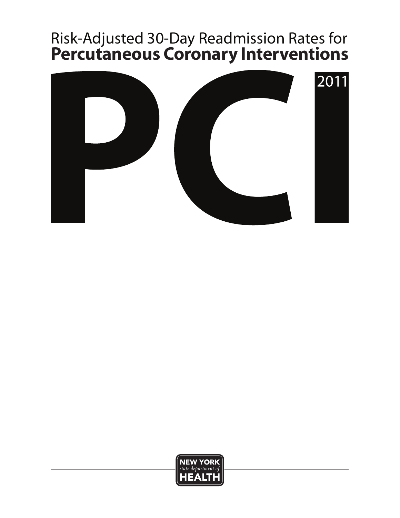# <sup>1</sup> Risk-Adjusted 30-Day Readmission Rates for **Percutaneous Coronary Interventions**



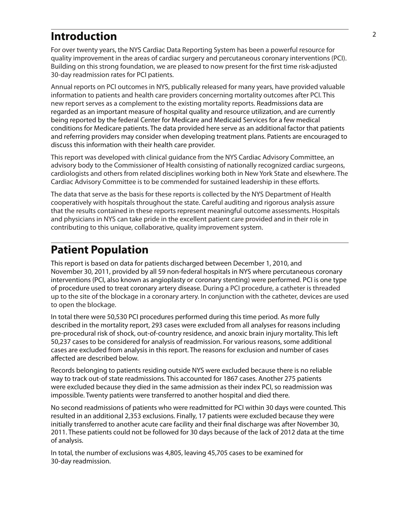#### <sup>2</sup> **Introduction**

For over twenty years, the NYS Cardiac Data Reporting System has been a powerful resource for quality improvement in the areas of cardiac surgery and percutaneous coronary interventions (PCI). Building on this strong foundation, we are pleased to now present for the first time risk-adjusted 30-day readmission rates for PCI patients.

Annual reports on PCI outcomes in NYS, publically released for many years, have provided valuable information to patients and health care providers concerning mortality outcomes after PCI. This new report serves as a complement to the existing mortality reports. Readmissions data are regarded as an important measure of hospital quality and resource utilization, and are currently being reported by the federal Center for Medicare and Medicaid Services for a few medical conditions for Medicare patients. The data provided here serve as an additional factor that patients and referring providers may consider when developing treatment plans. Patients are encouraged to discuss this information with their health care provider.

This report was developed with clinical guidance from the NYS Cardiac Advisory Committee, an advisory body to the Commissioner of Health consisting of nationally recognized cardiac surgeons, cardiologists and others from related disciplines working both in New York State and elsewhere. The Cardiac Advisory Committee is to be commended for sustained leadership in these efforts.

The data that serve as the basis for these reports is collected by the NYS Department of Health cooperatively with hospitals throughout the state. Careful auditing and rigorous analysis assure that the results contained in these reports represent meaningful outcome assessments. Hospitals and physicians in NYS can take pride in the excellent patient care provided and in their role in contributing to this unique, collaborative, quality improvement system.

### **Patient Population**

This report is based on data for patients discharged between December 1, 2010, and November 30, 2011, provided by all 59 non-federal hospitals in NYS where percutaneous coronary interventions (PCI, also known as angioplasty or coronary stenting) were performed. PCI is one type of procedure used to treat coronary artery disease. During a PCI procedure, a catheter is threaded up to the site of the blockage in a coronary artery. In conjunction with the catheter, devices are used to open the blockage.

In total there were 50,530 PCI procedures performed during this time period. As more fully described in the mortality report, 293 cases were excluded from all analyses for reasons including pre-procedural risk of shock, out-of-country residence, and anoxic brain injury mortality. This left 50,237 cases to be considered for analysis of readmission. For various reasons, some additional cases are excluded from analysis in this report. The reasons for exclusion and number of cases affected are described below.

Records belonging to patients residing outside NYS were excluded because there is no reliable way to track out-of state readmissions. This accounted for 1867 cases. Another 275 patients were excluded because they died in the same admission as their index PCI, so readmission was impossible. Twenty patients were transferred to another hospital and died there.

No second readmissions of patients who were readmitted for PCI within 30 days were counted. This resulted in an additional 2,353 exclusions. Finally, 17 patients were excluded because they were initially transferred to another acute care facility and their final discharge was after November 30, 2011. These patients could not be followed for 30 days because of the lack of 2012 data at the time of analysis.

In total, the number of exclusions was 4,805, leaving 45,705 cases to be examined for 30-day readmission.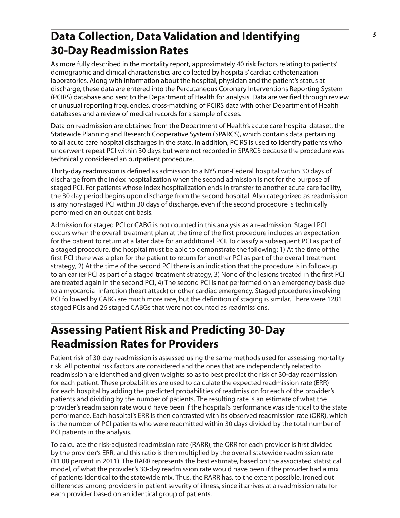# **Data Collection, Data Validation and Identifying** <sup>3</sup> **30-Day Readmission Rates**

As more fully described in the mortality report, approximately 40 risk factors relating to patients' demographic and clinical characteristics are collected by hospitals' cardiac catheterization laboratories. Along with information about the hospital, physician and the patient's status at discharge, these data are entered into the Percutaneous Coronary Interventions Reporting System (PCIRS) database and sent to the Department of Health for analysis. Data are verified through review of unusual reporting frequencies, cross-matching of PCIRS data with other Department of Health databases and a review of medical records for a sample of cases.

Data on readmission are obtained from the Department of Health's acute care hospital dataset, the Statewide Planning and Research Cooperative System (SPARCS), which contains data pertaining to all acute care hospital discharges in the state. In addition, PCIRS is used to identify patients who underwent repeat PCI within 30 days but were not recorded in SPARCS because the procedure was technically considered an outpatient procedure.

Thirty-day readmission is defined as admission to a NYS non-Federal hospital within 30 days of discharge from the index hospitalization when the second admission is not for the purpose of staged PCI. For patients whose index hospitalization ends in transfer to another acute care facility, the 30 day period begins upon discharge from the second hospital. Also categorized as readmission is any non-staged PCI within 30 days of discharge, even if the second procedure is technically performed on an outpatient basis.

Admission for staged PCI or CABG is not counted in this analysis as a readmission. Staged PCI occurs when the overall treatment plan at the time of the first procedure includes an expectation for the patient to return at a later date for an additional PCI. To classify a subsequent PCI as part of a staged procedure, the hospital must be able to demonstrate the following: 1) At the time of the first PCI there was a plan for the patient to return for another PCI as part of the overall treatment strategy, 2) At the time of the second PCI there is an indication that the procedure is in follow-up to an earlier PCI as part of a staged treatment strategy, 3) None of the lesions treated in the first PCI are treated again in the second PCI, 4) The second PCI is not performed on an emergency basis due to a myocardial infarction (heart attack) or other cardiac emergency. Staged procedures involving PCI followed by CABG are much more rare, but the definition of staging is similar. There were 1281 staged PCIs and 26 staged CABGs that were not counted as readmissions.

# **Assessing Patient Risk and Predicting 30-Day Readmission Rates for Providers**

Patient risk of 30-day readmission is assessed using the same methods used for assessing mortality risk. All potential risk factors are considered and the ones that are independently related to readmission are identified and given weights so as to best predict the risk of 30-day readmission for each patient. These probabilities are used to calculate the expected readmission rate (ERR) for each hospital by adding the predicted probabilities of readmission for each of the provider's patients and dividing by the number of patients. The resulting rate is an estimate of what the provider's readmission rate would have been if the hospital's performance was identical to the state performance. Each hospital's ERR is then contrasted with its observed readmission rate (ORR), which is the number of PCI patients who were readmitted within 30 days divided by the total number of PCI patients in the analysis.

To calculate the risk-adjusted readmission rate (RARR), the ORR for each provider is first divided by the provider's ERR, and this ratio is then multiplied by the overall statewide readmission rate (11.08 percent in 2011). The RARR represents the best estimate, based on the associated statistical model, of what the provider's 30-day readmission rate would have been if the provider had a mix of patients identical to the statewide mix. Thus, the RARR has, to the extent possible, ironed out differences among providers in patient severity of illness, since it arrives at a readmission rate for each provider based on an identical group of patients.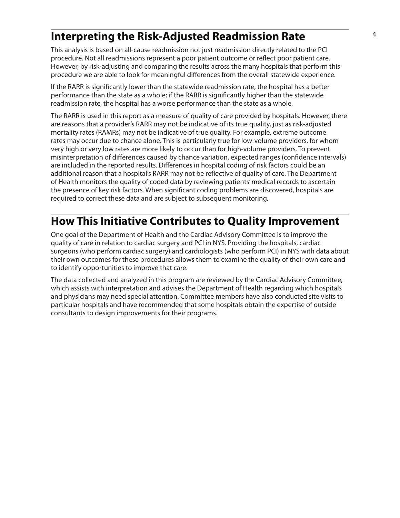### <sup>4</sup> **Interpreting the Risk-Adjusted Readmission Rate**

This analysis is based on all-cause readmission not just readmission directly related to the PCI procedure. Not all readmissions represent a poor patient outcome or reflect poor patient care. However, by risk-adjusting and comparing the results across the many hospitals that perform this procedure we are able to look for meaningful differences from the overall statewide experience.

If the RARR is significantly lower than the statewide readmission rate, the hospital has a better performance than the state as a whole; if the RARR is significantly higher than the statewide readmission rate, the hospital has a worse performance than the state as a whole.

The RARR is used in this report as a measure of quality of care provided by hospitals. However, there are reasons that a provider's RARR may not be indicative of its true quality, just as risk-adjusted mortality rates (RAMRs) may not be indicative of true quality. For example, extreme outcome rates may occur due to chance alone. This is particularly true for low-volume providers, for whom very high or very low rates are more likely to occur than for high-volume providers. To prevent misinterpretation of differences caused by chance variation, expected ranges (confidence intervals) are included in the reported results. Differences in hospital coding of risk factors could be an additional reason that a hospital's RARR may not be reflective of quality of care. The Department of Health monitors the quality of coded data by reviewing patients' medical records to ascertain the presence of key risk factors. When significant coding problems are discovered, hospitals are required to correct these data and are subject to subsequent monitoring.

## **How This Initiative Contributes to Quality Improvement**

One goal of the Department of Health and the Cardiac Advisory Committee is to improve the quality of care in relation to cardiac surgery and PCI in NYS. Providing the hospitals, cardiac surgeons (who perform cardiac surgery) and cardiologists (who perform PCI) in NYS with data about their own outcomes for these procedures allows them to examine the quality of their own care and to identify opportunities to improve that care.

The data collected and analyzed in this program are reviewed by the Cardiac Advisory Committee, which assists with interpretation and advises the Department of Health regarding which hospitals and physicians may need special attention. Committee members have also conducted site visits to particular hospitals and have recommended that some hospitals obtain the expertise of outside consultants to design improvements for their programs.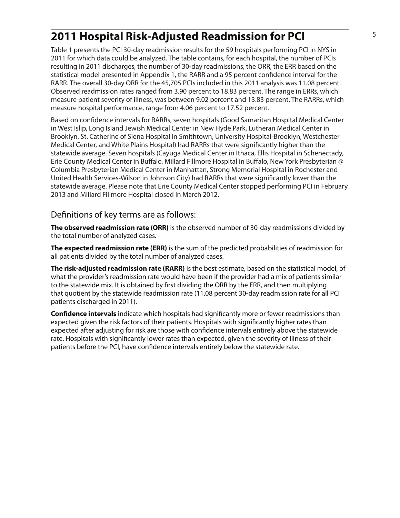# <sup>5</sup> **2011 Hospital Risk-Adjusted Readmission for PCI**

Table 1 presents the PCI 30-day readmission results for the 59 hospitals performing PCI in NYS in 2011 for which data could be analyzed. The table contains, for each hospital, the number of PCIs resulting in 2011 discharges, the number of 30-day readmissions, the ORR, the ERR based on the statistical model presented in Appendix 1, the RARR and a 95 percent confidence interval for the RARR. The overall 30-day ORR for the 45,705 PCIs included in this 2011 analysis was 11.08 percent. Observed readmission rates ranged from 3.90 percent to 18.83 percent. The range in ERRs, which measure patient severity of illness, was between 9.02 percent and 13.83 percent. The RARRs, which measure hospital performance, range from 4.06 percent to 17.52 percent.

Based on confidence intervals for RARRs, seven hospitals (Good Samaritan Hospital Medical Center in West Islip, Long Island Jewish Medical Center in New Hyde Park, Lutheran Medical Center in Brooklyn, St. Catherine of Siena Hospital in Smithtown, University Hospital-Brooklyn, Westchester Medical Center, and White Plains Hospital) had RARRs that were significantly higher than the statewide average. Seven hospitals (Cayuga Medical Center in Ithaca, Ellis Hospital in Schenectady, Erie County Medical Center in Buffalo, Millard Fillmore Hospital in Buffalo, New York Presbyterian @ Columbia Presbyterian Medical Center in Manhattan, Strong Memorial Hospital in Rochester and United Health Services-Wilson in Johnson City) had RARRs that were significantly lower than the statewide average. Please note that Erie County Medical Center stopped performing PCI in February 2013 and Millard Fillmore Hospital closed in March 2012.

#### Definitions of key terms are as follows:

**The observed readmission rate (ORR)** is the observed number of 30-day readmissions divided by the total number of analyzed cases.

**The expected readmission rate (ERR)** is the sum of the predicted probabilities of readmission for all patients divided by the total number of analyzed cases.

**The risk-adjusted readmission rate (RARR)** is the best estimate, based on the statistical model, of what the provider's readmission rate would have been if the provider had a mix of patients similar to the statewide mix. It is obtained by first dividing the ORR by the ERR, and then multiplying that quotient by the statewide readmission rate (11.08 percent 30-day readmission rate for all PCI patients discharged in 2011).

**Confidence intervals** indicate which hospitals had significantly more or fewer readmissions than expected given the risk factors of their patients. Hospitals with significantly higher rates than expected after adjusting for risk are those with confidence intervals entirely above the statewide rate. Hospitals with significantly lower rates than expected, given the severity of illness of their patients before the PCI, have confidence intervals entirely below the statewide rate.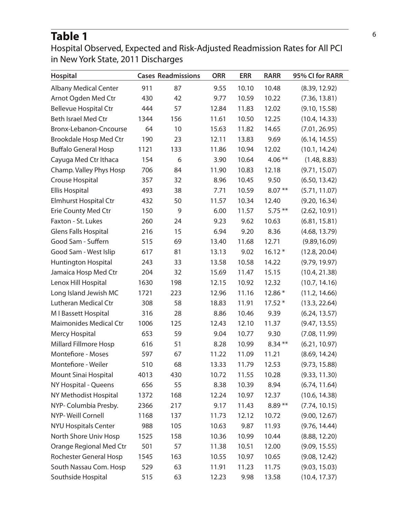#### Table 1<sup>6</sup>

Hospital Observed, Expected and Risk-Adjusted Readmission Rates for All PCI in New York State, 2011 Discharges

| <b>Hospital</b>               |      | <b>Cases Readmissions</b> | <b>ORR</b> | <b>ERR</b> | <b>RARR</b> | 95% CI for RARR |
|-------------------------------|------|---------------------------|------------|------------|-------------|-----------------|
| <b>Albany Medical Center</b>  | 911  | 87                        | 9.55       | 10.10      | 10.48       | (8.39, 12.92)   |
| Arnot Ogden Med Ctr           | 430  | 42                        | 9.77       | 10.59      | 10.22       | (7.36, 13.81)   |
| <b>Bellevue Hospital Ctr</b>  | 444  | 57                        | 12.84      | 11.83      | 12.02       | (9.10, 15.58)   |
| <b>Beth Israel Med Ctr</b>    | 1344 | 156                       | 11.61      | 10.50      | 12.25       | (10.4, 14.33)   |
| Bronx-Lebanon-Cncourse        | 64   | 10                        | 15.63      | 11.82      | 14.65       | (7.01, 26.95)   |
| <b>Brookdale Hosp Med Ctr</b> | 190  | 23                        | 12.11      | 13.83      | 9.69        | (6.14, 14.55)   |
| <b>Buffalo General Hosp</b>   | 1121 | 133                       | 11.86      | 10.94      | 12.02       | (10.1, 14.24)   |
| Cayuga Med Ctr Ithaca         | 154  | 6                         | 3.90       | 10.64      | $4.06***$   | (1.48, 8.83)    |
| Champ. Valley Phys Hosp       | 706  | 84                        | 11.90      | 10.83      | 12.18       | (9.71, 15.07)   |
| Crouse Hospital               | 357  | 32                        | 8.96       | 10.45      | 9.50        | (6.50, 13.42)   |
| <b>Ellis Hospital</b>         | 493  | 38                        | 7.71       | 10.59      | $8.07**$    | (5.71, 11.07)   |
| <b>Elmhurst Hospital Ctr</b>  | 432  | 50                        | 11.57      | 10.34      | 12.40       | (9.20, 16.34)   |
| <b>Erie County Med Ctr</b>    | 150  | 9                         | 6.00       | 11.57      | $5.75***$   | (2.62, 10.91)   |
| Faxton - St. Lukes            | 260  | 24                        | 9.23       | 9.62       | 10.63       | (6.81, 15.81)   |
| Glens Falls Hospital          | 216  | 15                        | 6.94       | 9.20       | 8.36        | (4.68, 13.79)   |
| Good Sam - Suffern            | 515  | 69                        | 13.40      | 11.68      | 12.71       | (9.89, 16.09)   |
| Good Sam - West Islip         | 617  | 81                        | 13.13      | 9.02       | $16.12*$    | (12.8, 20.04)   |
| Huntington Hospital           | 243  | 33                        | 13.58      | 10.58      | 14.22       | (9.79, 19.97)   |
| Jamaica Hosp Med Ctr          | 204  | 32                        | 15.69      | 11.47      | 15.15       | (10.4, 21.38)   |
| Lenox Hill Hospital           | 1630 | 198                       | 12.15      | 10.92      | 12.32       | (10.7, 14.16)   |
| Long Island Jewish MC         | 1721 | 223                       | 12.96      | 11.16      | 12.86 *     | (11.2, 14.66)   |
| Lutheran Medical Ctr          | 308  | 58                        | 18.83      | 11.91      | $17.52*$    | (13.3, 22.64)   |
| M I Bassett Hospital          | 316  | 28                        | 8.86       | 10.46      | 9.39        | (6.24, 13.57)   |
| <b>Maimonides Medical Ctr</b> | 1006 | 125                       | 12.43      | 12.10      | 11.37       | (9.47, 13.55)   |
| Mercy Hospital                | 653  | 59                        | 9.04       | 10.77      | 9.30        | (7.08, 11.99)   |
| <b>Millard Fillmore Hosp</b>  | 616  | 51                        | 8.28       | 10.99      | $8.34***$   | (6.21, 10.97)   |
| <b>Montefiore - Moses</b>     | 597  | 67                        | 11.22      | 11.09      | 11.21       | (8.69, 14.24)   |
| Montefiore - Weiler           | 510  | 68                        | 13.33      | 11.79      | 12.53       | (9.73, 15.88)   |
| <b>Mount Sinai Hospital</b>   | 4013 | 430                       | 10.72      | 11.55      | 10.28       | (9.33, 11.30)   |
| NY Hospital - Queens          | 656  | 55                        | 8.38       | 10.39      | 8.94        | (6.74, 11.64)   |
| NY Methodist Hospital         | 1372 | 168                       | 12.24      | 10.97      | 12.37       | (10.6, 14.38)   |
| NYP- Columbia Presby.         | 2366 | 217                       | 9.17       | 11.43      | $8.89**$    | (7.74, 10.15)   |
| NYP-Weill Cornell             | 1168 | 137                       | 11.73      | 12.12      | 10.72       | (9.00, 12.67)   |
| <b>NYU Hospitals Center</b>   | 988  | 105                       | 10.63      | 9.87       | 11.93       | (9.76, 14.44)   |
| North Shore Univ Hosp         | 1525 | 158                       | 10.36      | 10.99      | 10.44       | (8.88, 12.20)   |
| Orange Regional Med Ctr       | 501  | 57                        | 11.38      | 10.51      | 12.00       | (9.09, 15.55)   |
| Rochester General Hosp        | 1545 | 163                       | 10.55      | 10.97      | 10.65       | (9.08, 12.42)   |
| South Nassau Com. Hosp        | 529  | 63                        | 11.91      | 11.23      | 11.75       | (9.03, 15.03)   |
| Southside Hospital            | 515  | 63                        | 12.23      | 9.98       | 13.58       | (10.4, 17.37)   |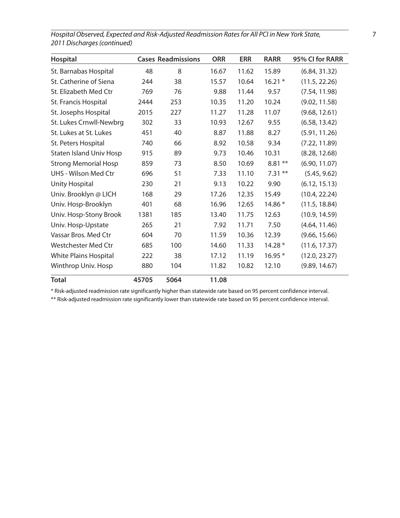| Hospital                       |       | <b>Cases Readmissions</b> | <b>ORR</b> | <b>ERR</b> | <b>RARR</b> | 95% CI for RARR |
|--------------------------------|-------|---------------------------|------------|------------|-------------|-----------------|
| St. Barnabas Hospital          | 48    | 8                         | 16.67      | 11.62      | 15.89       | (6.84, 31.32)   |
| St. Catherine of Siena         | 244   | 38                        | 15.57      | 10.64      | $16.21*$    | (11.5, 22.26)   |
| St. Elizabeth Med Ctr          | 769   | 76                        | 9.88       | 11.44      | 9.57        | (7.54, 11.98)   |
| St. Francis Hospital           | 2444  | 253                       | 10.35      | 11.20      | 10.24       | (9.02, 11.58)   |
| St. Josephs Hospital           | 2015  | 227                       | 11.27      | 11.28      | 11.07       | (9.68, 12.61)   |
| St. Lukes Crnwll-Newbrg        | 302   | 33                        | 10.93      | 12.67      | 9.55        | (6.58, 13.42)   |
| St. Lukes at St. Lukes         | 451   | 40                        | 8.87       | 11.88      | 8.27        | (5.91, 11.26)   |
| St. Peters Hospital            | 740   | 66                        | 8.92       | 10.58      | 9.34        | (7.22, 11.89)   |
| <b>Staten Island Univ Hosp</b> | 915   | 89                        | 9.73       | 10.46      | 10.31       | (8.28, 12.68)   |
| <b>Strong Memorial Hosp</b>    | 859   | 73                        | 8.50       | 10.69      | $8.81**$    | (6.90, 11.07)   |
| UHS - Wilson Med Ctr           | 696   | 51                        | 7.33       | 11.10      | $7.31**$    | (5.45, 9.62)    |
| <b>Unity Hospital</b>          | 230   | 21                        | 9.13       | 10.22      | 9.90        | (6.12, 15.13)   |
| Univ. Brooklyn @ LICH          | 168   | 29                        | 17.26      | 12.35      | 15.49       | (10.4, 22.24)   |
| Univ. Hosp-Brooklyn            | 401   | 68                        | 16.96      | 12.65      | 14.86 *     | (11.5, 18.84)   |
| Univ. Hosp-Stony Brook         | 1381  | 185                       | 13.40      | 11.75      | 12.63       | (10.9, 14.59)   |
| Univ. Hosp-Upstate             | 265   | 21                        | 7.92       | 11.71      | 7.50        | (4.64, 11.46)   |
| Vassar Bros. Med Ctr           | 604   | 70                        | 11.59      | 10.36      | 12.39       | (9.66, 15.66)   |
| <b>Westchester Med Ctr</b>     | 685   | 100                       | 14.60      | 11.33      | $14.28*$    | (11.6, 17.37)   |
| <b>White Plains Hospital</b>   | 222   | 38                        | 17.12      | 11.19      | $16.95*$    | (12.0, 23.27)   |
| Winthrop Univ. Hosp            | 880   | 104                       | 11.82      | 10.82      | 12.10       | (9.89, 14.67)   |
| <b>Total</b>                   | 45705 | 5064                      | 11.08      |            |             |                 |

*Hospital Observed, Expected and Risk-Adjusted Readmission Rates for All PCI in New York State,* 7 *2011 Discharges (continued)*

\* Risk-adjusted readmission rate significantly higher than statewide rate based on 95 percent confidence interval.

\*\* Risk-adjusted readmission rate significantly lower than statewide rate based on 95 percent confidence interval.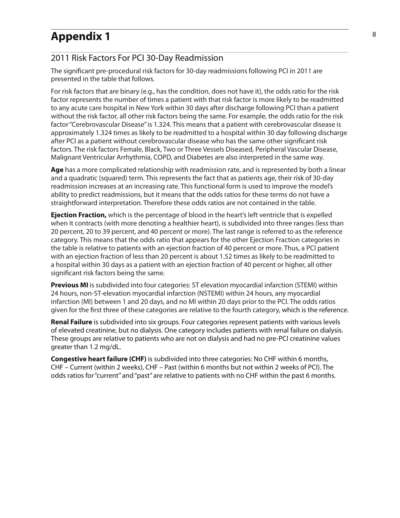#### **Appendix 1** 8

#### 2011 Risk Factors For PCI 30-Day Readmission

The significant pre-procedural risk factors for 30-day readmissions following PCI in 2011 are presented in the table that follows.

For risk factors that are binary (e.g., has the condition, does not have it), the odds ratio for the risk factor represents the number of times a patient with that risk factor is more likely to be readmitted to any acute care hospital in New York within 30 days after discharge following PCI than a patient without the risk factor, all other risk factors being the same. For example, the odds ratio for the risk factor "Cerebrovascular Disease" is 1.324. This means that a patient with cerebrovascular disease is approximately 1.324 times as likely to be readmitted to a hospital within 30 day following discharge after PCI as a patient without cerebrovascular disease who has the same other significant risk factors. The risk factors Female, Black, Two or Three Vessels Diseased, Peripheral Vascular Disease, Malignant Ventricular Arrhythmia, COPD, and Diabetes are also interpreted in the same way.

**Age** has a more complicated relationship with readmission rate, and is represented by both a linear and a quadratic (squared) term. This represents the fact that as patients age, their risk of 30-day readmission increases at an increasing rate. This functional form is used to improve the model's ability to predict readmissions, but it means that the odds ratios for these terms do not have a straightforward interpretation. Therefore these odds ratios are not contained in the table.

**Ejection Fraction,** which is the percentage of blood in the heart's left ventricle that is expelled when it contracts (with more denoting a healthier heart), is subdivided into three ranges (less than 20 percent, 20 to 39 percent, and 40 percent or more). The last range is referred to as the reference category. This means that the odds ratio that appears for the other Ejection Fraction categories in the table is relative to patients with an ejection fraction of 40 percent or more. Thus, a PCI patient with an ejection fraction of less than 20 percent is about 1.52 times as likely to be readmitted to a hospital within 30 days as a patient with an ejection fraction of 40 percent or higher, all other significant risk factors being the same.

**Previous MI** is subdivided into four categories: ST elevation myocardial infarction (STEMI) within 24 hours, non-ST-elevation myocardial infarction (NSTEMI) within 24 hours, any myocardial infarction (MI) between 1 and 20 days, and no MI within 20 days prior to the PCI. The odds ratios given for the first three of these categories are relative to the fourth category, which is the reference.

**Renal Failure** is subdivided into six groups. Four categories represent patients with various levels of elevated creatinine, but no dialysis. One category includes patients with renal failure on dialysis. These groups are relative to patients who are not on dialysis and had no pre-PCI creatinine values greater than 1.2 mg/dL.

**Congestive heart failure (CHF)** is subdivided into three categories: No CHF within 6 months, CHF – Current (within 2 weeks), CHF – Past (within 6 months but not within 2 weeks of PCI). The odds ratios for "current" and "past" are relative to patients with no CHF within the past 6 months.